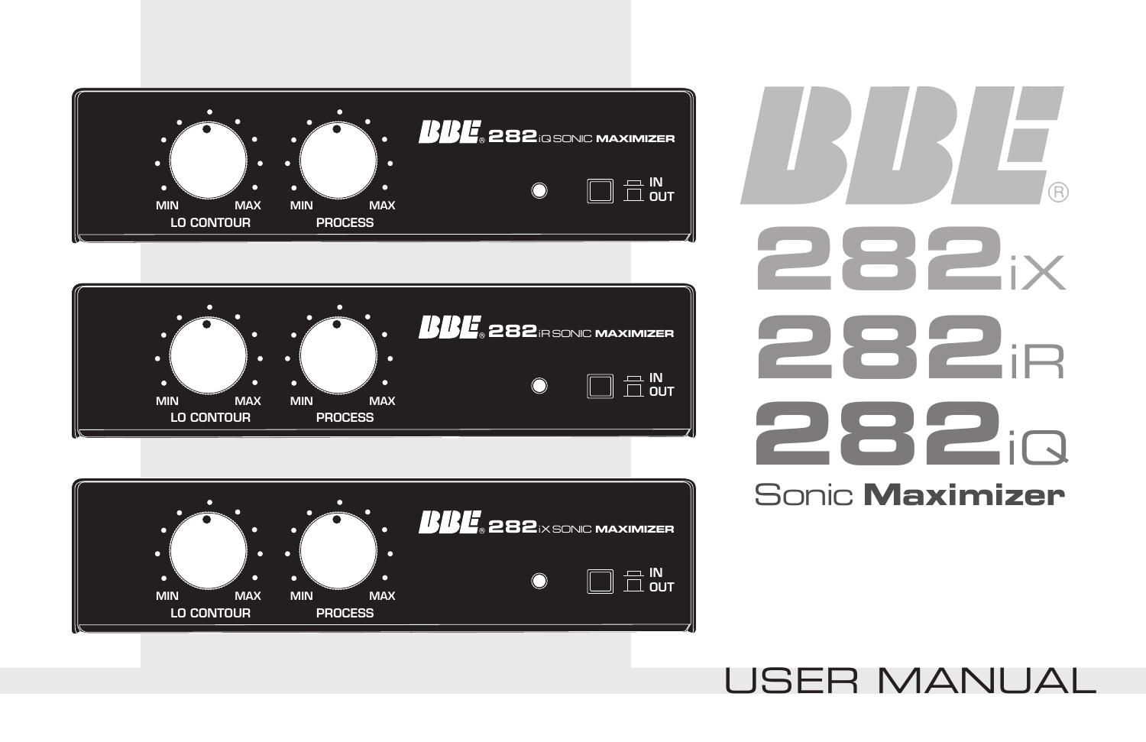







# USER MANUAL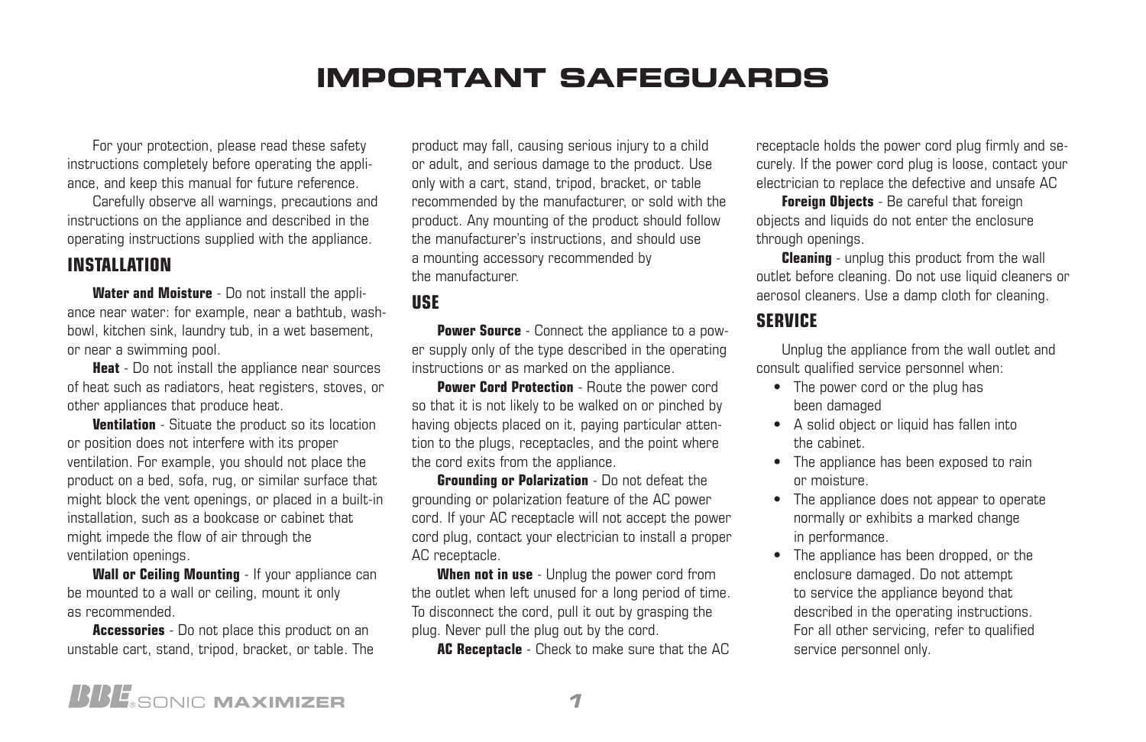# **IMPORTANT SAFEGUARDS**

For your protection, please read these safety instructions completely before operating the appliance, and keep this manual for future reference.

Carefully observe all warnings, precautions and instructions on the appliance and described in the operating instructions supplied with the appliance.

#### **INSTALLATION**

**Water and Moisture** - Do not install the appliance near water: for example, near a bathtub, washbowl, kitchen sink, laundry tub, in a wet basement, or near a swimming pool.

**Heat** - Do not install the appliance near sources of heat such as radiators, heat registers, stoves, or other appliances that produce heat.

**Ventilation** - Situate the product so its location or position does not interfere with its proper ventilation. For example, you should not place the product on a bed, sofa, rug, or similar surface that might block the vent openings, or placed in a built-in installation, such as a bookcase or cabinet that might impede the flow of air through the ventilation openings.

Wall or Ceiling Mounting - If your appliance can be mounted to a wall or ceiling, mount it only as recommended.

**Accessories** - Do not place this product on an unstable cart, stand, tripod, bracket, or table. The product may fall, causing serious injury to a child or adult, and serious damage to the product. Use only with a cart, stand, tripod, bracket, or table recommended by the manufacturer, or sold with the product. Any mounting of the product should follow the manufacturer's instructions, and should use a mounting accessory recommended by the manufacturer.

#### **USE**

**Power Source** - Connect the appliance to a power supply only of the type described in the operating instructions or as marked on the appliance.

**Power Cord Protection** - Route the power cord so that it is not likely to be walked on or pinched by having objects placed on it, paying particular attention to the plugs, receptacles, and the point where the cord exits from the appliance.

**Grounding or Polarization** - Do not defeat the grounding or polarization feature of the AC power cord. If your AC receptacle will not accept the power cord plug, contact your electrician to install a proper AC receptacle.

**When not in use** - Unplug the power cord from the outlet when left unused for a long period of time. To disconnect the cord, pull it out by grasping the plug. Never pull the plug out by the cord.

**AC Receptacle** - Check to make sure that the AC

receptacle holds the power cord plug firmly and securely. If the power cord plug is loose, contact your electrician to replace the defective and unsafe AC

**Foreign Objects** - Be careful that foreign objects and liquids do not enter the enclosure through openings.

**Cleaning** - unplug this product from the wall outlet before cleaning. Do not use liquid cleaners or aerosol cleaners. Use a damp cloth for cleaning.

#### **SERVICE**

Unplug the appliance from the wall outlet and consult qualified service personnel when:

- The power cord or the plug has been damaged
- A solid object or liquid has fallen into the cabinet.
- The appliance has been exposed to rain or moisture.
- The appliance does not appear to operate normally or exhibits a marked change in performance.
- The appliance has been dropped, or the enclosure damaged. Do not attempt to service the appliance beyond that described in the operating instructions. For all other servicing, refer to qualified service personnel only.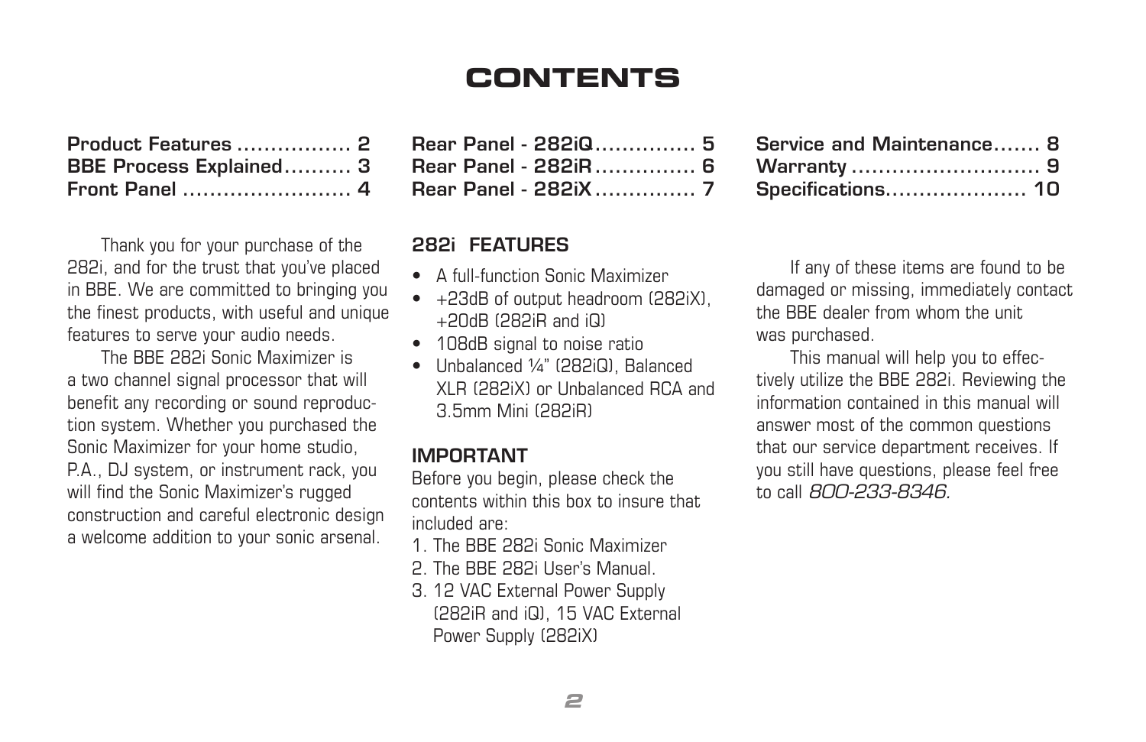## **CONTENTS**

| Product Features  2     |  |
|-------------------------|--|
| BBE Process Explained 3 |  |
|                         |  |

Thank you for your purchase of the 282i, and for the trust that you've placed in BBE. We are committed to bringing you the finest products, with useful and unique features to serve your audio needs.

The BBE 282i Sonic Maximizer is a two channel signal processor that will benefit any recording or sound reproduction system. Whether you purchased the Sonic Maximizer for your home studio, P.A., DJ system, or instrument rack, you will find the Sonic Maximizer's rugged construction and careful electronic design a welcome addition to your sonic arsenal.

| Rear Panel - 282iQ 5 |  |
|----------------------|--|
| Rear Panel - 282iR 6 |  |
|                      |  |

#### 282i FEATURES

- A full-function Sonic Maximizer
- +23dB of output headroom (282iX), +20dB (282iR and iQ)
- 108dB signal to noise ratio
- Unbalanced ¼" (282iQ), Balanced XLR (282iX) or Unbalanced RCA and 3.5mm Mini (282iR)

#### IMPORTANT

Before you begin, please check the contents within this box to insure that included are:

- 1. The BBE 282i Sonic Maximizer
- 2. The BBE 282i User's Manual.
- 3. 12 VAC External Power Supply (282iR and iQ), 15 VAC External Power Supply (282iX)

| Service and Maintenance 8 |  |
|---------------------------|--|
|                           |  |
| Specifications 10         |  |

If any of these items are found to be damaged or missing, immediately contact the BBE dealer from whom the unit was purchased.

This manual will help you to effectively utilize the BBE 282i. Reviewing the information contained in this manual will answer most of the common questions that our service department receives. If you still have questions, please feel free to call *800-233-8346.*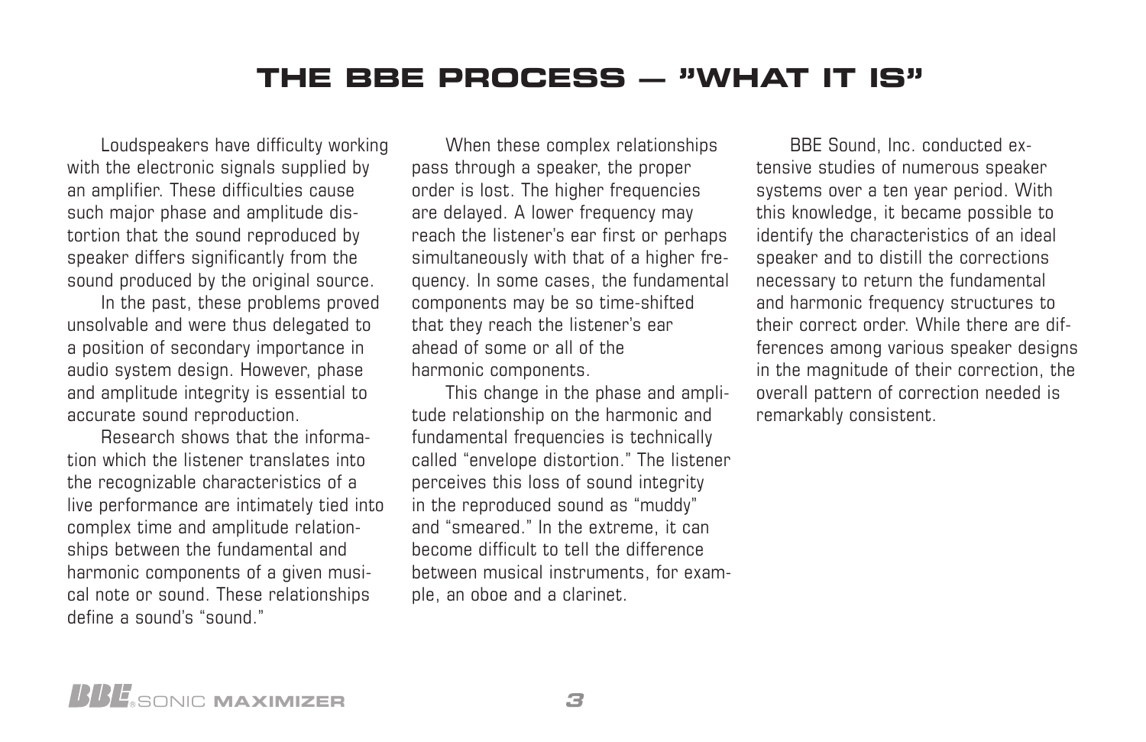#### **THE BBE PROCESS — "WHAT IT IS"**

Loudspeakers have difficulty working with the electronic signals supplied by an amplifier. These difficulties cause such major phase and amplitude distortion that the sound reproduced by speaker differs significantly from the sound produced by the original source.

In the past, these problems proved unsolvable and were thus delegated to a position of secondary importance in audio system design. However, phase and amplitude integrity is essential to accurate sound reproduction.

Research shows that the information which the listener translates into the recognizable characteristics of a live performance are intimately tied into complex time and amplitude relationships between the fundamental and harmonic components of a given musical note or sound. These relationships define a sound's "sound."

When these complex relationships pass through a speaker, the proper order is lost. The higher frequencies are delayed. A lower frequency may reach the listener's ear first or perhaps simultaneously with that of a higher frequency. In some cases, the fundamental components may be so time-shifted that they reach the listener's ear ahead of some or all of the harmonic components.

This change in the phase and amplitude relationship on the harmonic and fundamental frequencies is technically called "envelope distortion." The listener perceives this loss of sound integrity in the reproduced sound as "muddy" and "smeared." In the extreme, it can become difficult to tell the difference between musical instruments, for example, an oboe and a clarinet.

BBE Sound, Inc. conducted extensive studies of numerous speaker systems over a ten year period. With this knowledge, it became possible to identify the characteristics of an ideal speaker and to distill the corrections necessary to return the fundamental and harmonic frequency structures to their correct order. While there are differences among various speaker designs in the magnitude of their correction, the overall pattern of correction needed is remarkably consistent.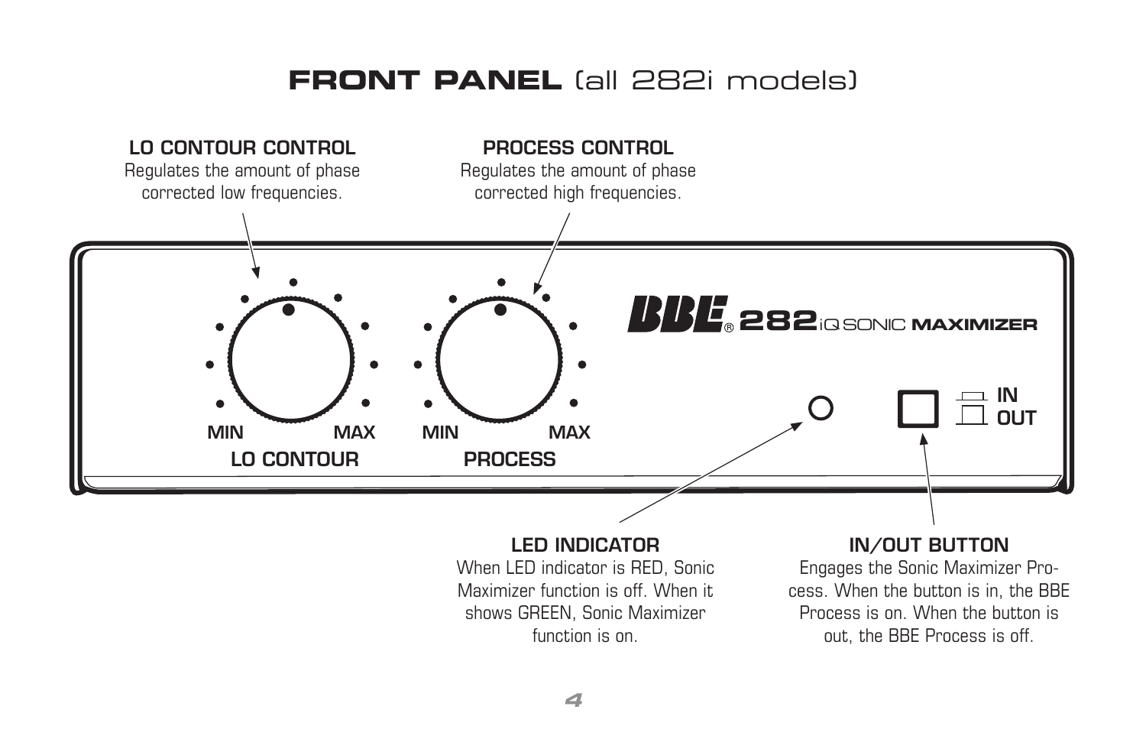#### **FRONT PANEL** (all 282i models)



When LED indicator is RED, Sonic Maximizer function is off. When it shows GREEN, Sonic Maximizer function is on.

Engages the Sonic Maximizer Process. When the button is in, the BBE Process is on. When the button is out, the BBE Process is off.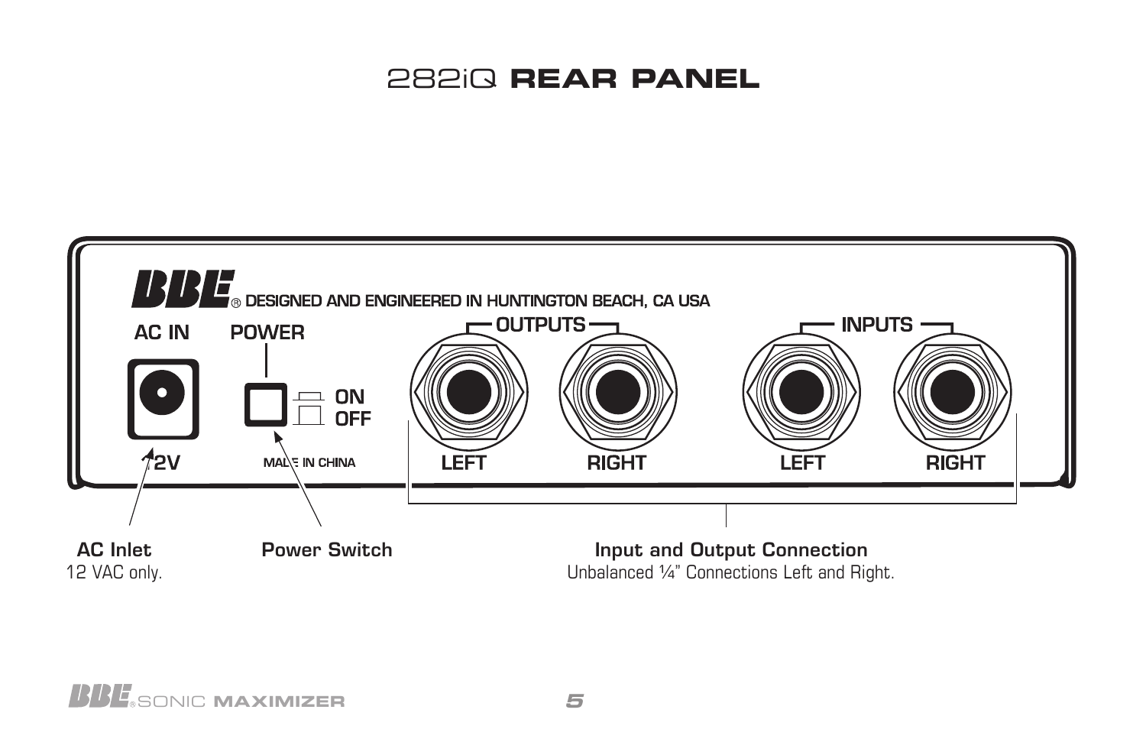## 282iQ **REAR PANEL**

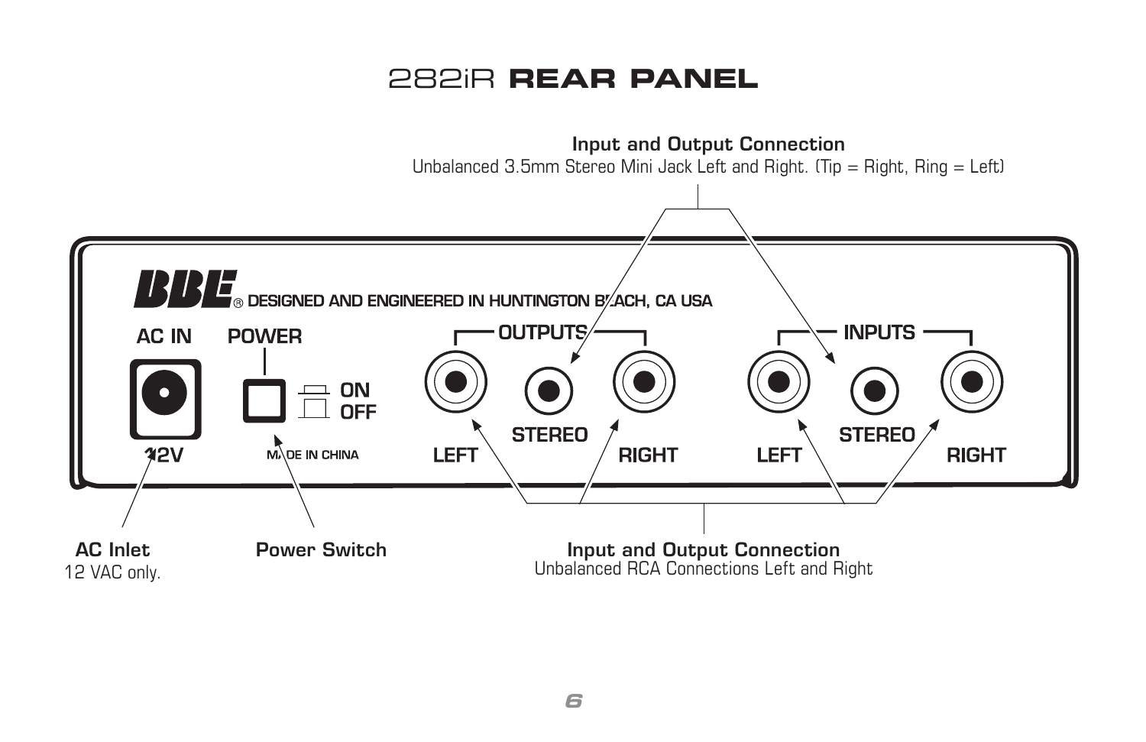## 282iR **REAR PANEL**

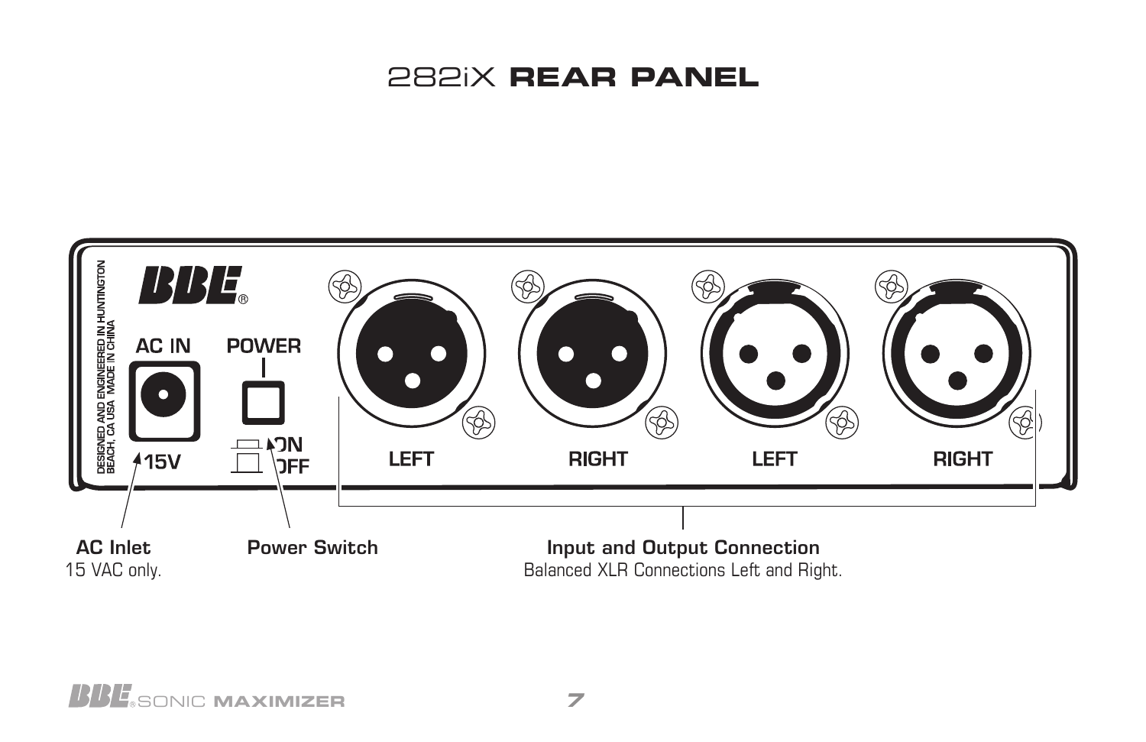## 282iX **REAR PANEL**

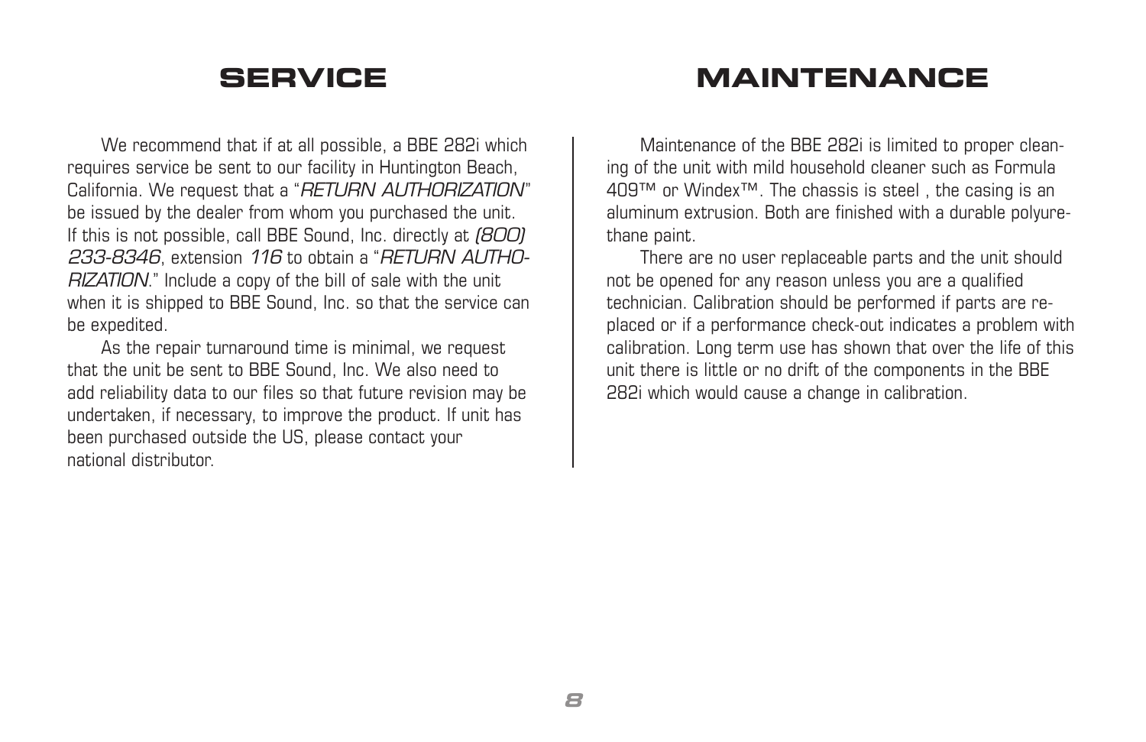We recommend that if at all possible, a BBE 282i which requires service be sent to our facility in Huntington Beach, California. We request that a "*RETURN AUTHORIZATION*" be issued by the dealer from whom you purchased the unit. If this is not possible, call BBE Sound, Inc. directly at *(800) 233-8346*, extension *116* to obtain a "*RETURN AUTHO-RIZATION*." Include a copy of the bill of sale with the unit when it is shipped to BBE Sound, Inc. so that the service can be expedited.

As the repair turnaround time is minimal, we request that the unit be sent to BBE Sound, Inc. We also need to add reliability data to our files so that future revision may be undertaken, if necessary, to improve the product. If unit has been purchased outside the US, please contact your national distributor.

### **SERVICE MAINTENANCE**

Maintenance of the BBE 282i is limited to proper cleaning of the unit with mild household cleaner such as Formula 409™ or Windex™. The chassis is steel , the casing is an aluminum extrusion. Both are finished with a durable polyurethane paint.

There are no user replaceable parts and the unit should not be opened for any reason unless you are a qualified technician. Calibration should be performed if parts are replaced or if a performance check-out indicates a problem with calibration. Long term use has shown that over the life of this unit there is little or no drift of the components in the BBE 282i which would cause a change in calibration.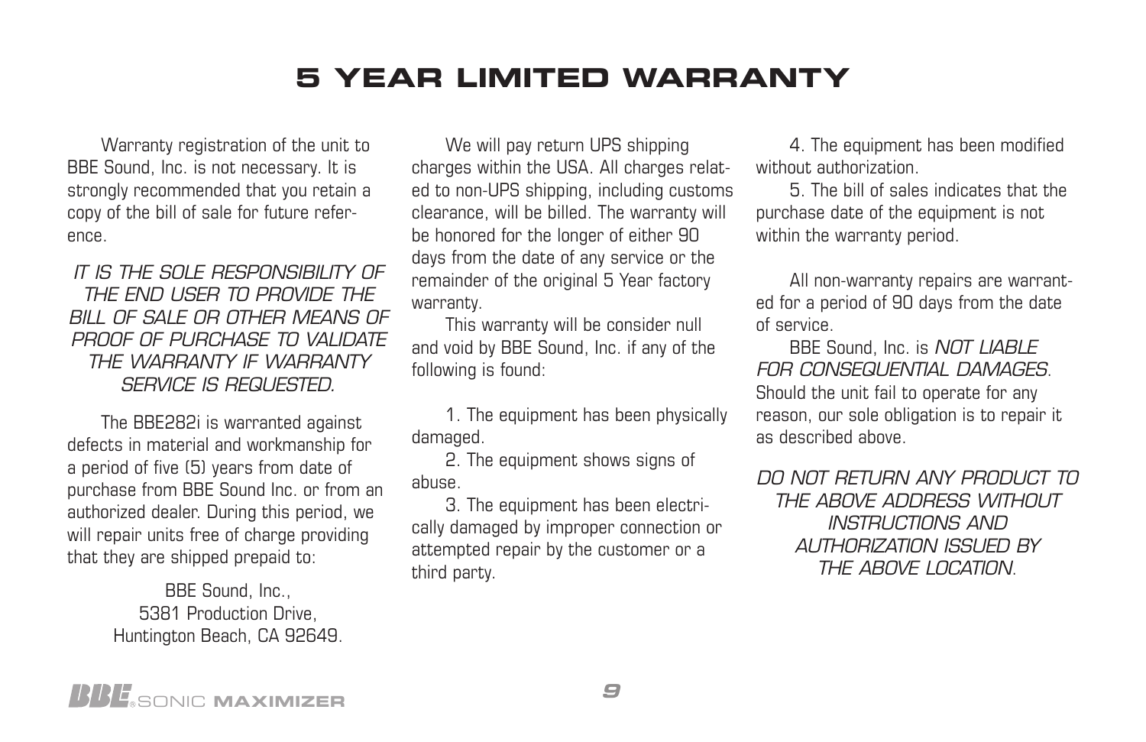## **5 YEAR LIMITED WARRANTY**

Warranty registration of the unit to BBE Sound, Inc. is not necessary. It is strongly recommended that you retain a copy of the bill of sale for future reference.

#### *IT IS THE SOLE RESPONSIBILITY OF THE END USER TO PROVIDE THE BILL OF SALE OR OTHER MEANS OF PROOF OF PURCHASE TO VALIDATE THE WARRANTY IF WARRANTY SERVICE IS REQUESTED.*

The BBE282i is warranted against defects in material and workmanship for a period of five (5) years from date of purchase from BBE Sound Inc. or from an authorized dealer. During this period, we will repair units free of charge providing that they are shipped prepaid to:

> BBE Sound, Inc., 5381 Production Drive, Huntington Beach, CA 92649.

We will pay return UPS shipping charges within the USA. All charges related to non-UPS shipping, including customs clearance, will be billed. The warranty will be honored for the longer of either 90 days from the date of any service or the remainder of the original 5 Year factory warranty.

This warranty will be consider null and void by BBE Sound, Inc. if any of the following is found:

1. The equipment has been physically damaged.

2. The equipment shows signs of abuse.

3. The equipment has been electrically damaged by improper connection or attempted repair by the customer or a third party.

4. The equipment has been modified without authorization.

5. The bill of sales indicates that the purchase date of the equipment is not within the warranty period.

All non-warranty repairs are warranted for a period of 90 days from the date of service.

BBE Sound, Inc. is *NOT LIABLE FOR CONSEQUENTIAL DAMAGES*. Should the unit fail to operate for any reason, our sole obligation is to repair it as described above.

*DO NOT RETURN ANY PRODUCT TO THE ABOVE ADDRESS WITHOUT INSTRUCTIONS AND AUTHORIZATION ISSUED BY THE ABOVE LOCATION*.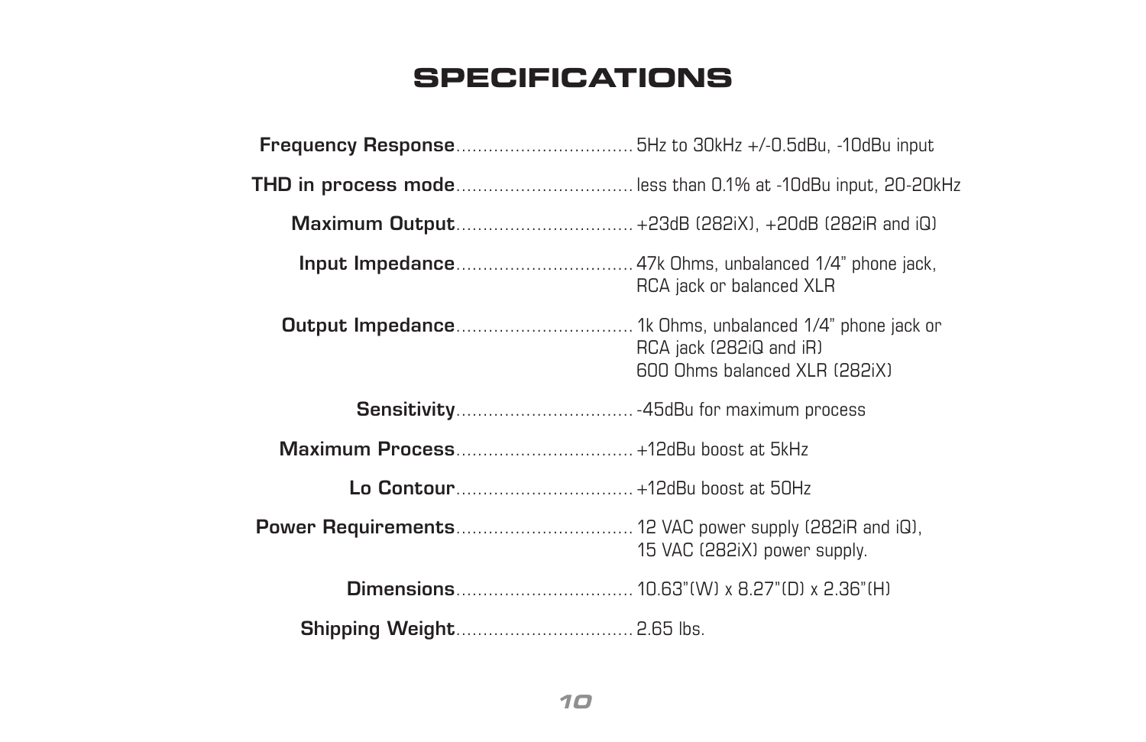## **SPECIFICATIONS**

| THD in process modeless than 0.1% at -10dBu input, 20-20kHz |                                                          |
|-------------------------------------------------------------|----------------------------------------------------------|
|                                                             |                                                          |
|                                                             | RCA jack or balanced XLR                                 |
|                                                             | RCA jack (282iQ and iR)<br>600 Ohms balanced XLR (282iX) |
|                                                             |                                                          |
|                                                             |                                                          |
|                                                             |                                                          |
|                                                             | 15 VAC (282iX) power supply.                             |
|                                                             |                                                          |
|                                                             |                                                          |